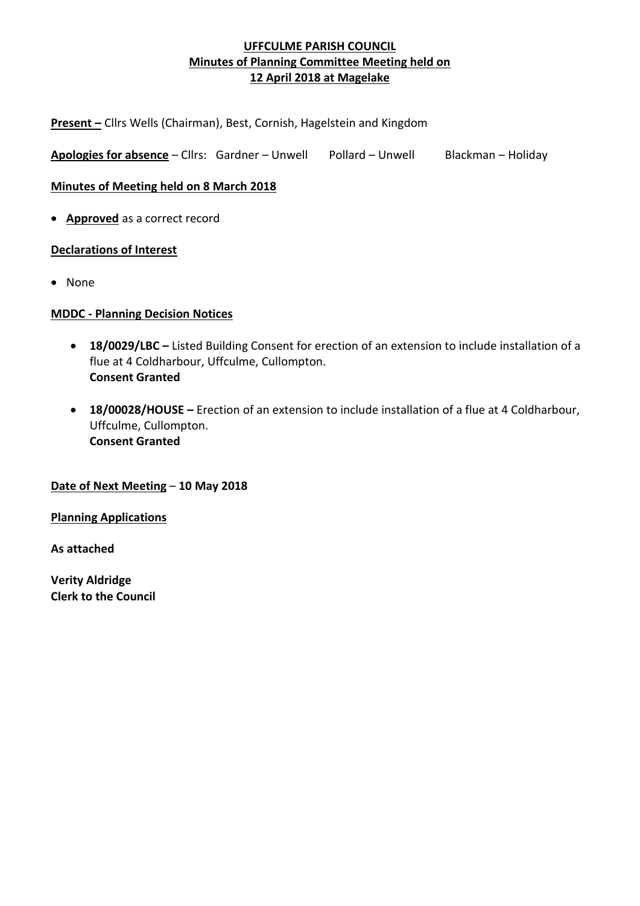**Present –** Cllrs Wells (Chairman), Best, Cornish, Hagelstein and Kingdom

Apologies for absence – Cllrs: Gardner – Unwell Pollard – Unwell Blackman – Holiday

**Minutes of Meeting held on 8 March 2018**

• **Approved** as a correct record

## **Declarations of Interest**

• None

## **MDDC - Planning Decision Notices**

- **18/0029/LBC –** Listed Building Consent for erection of an extension to include installation of a flue at 4 Coldharbour, Uffculme, Cullompton. **Consent Granted**
- **18/00028/HOUSE –** Erection of an extension to include installation of a flue at 4 Coldharbour, Uffculme, Cullompton. **Consent Granted**

#### **Date of Next Meeting** – **10 May 2018**

**Planning Applications**

**As attached**

**Verity Aldridge Clerk to the Council**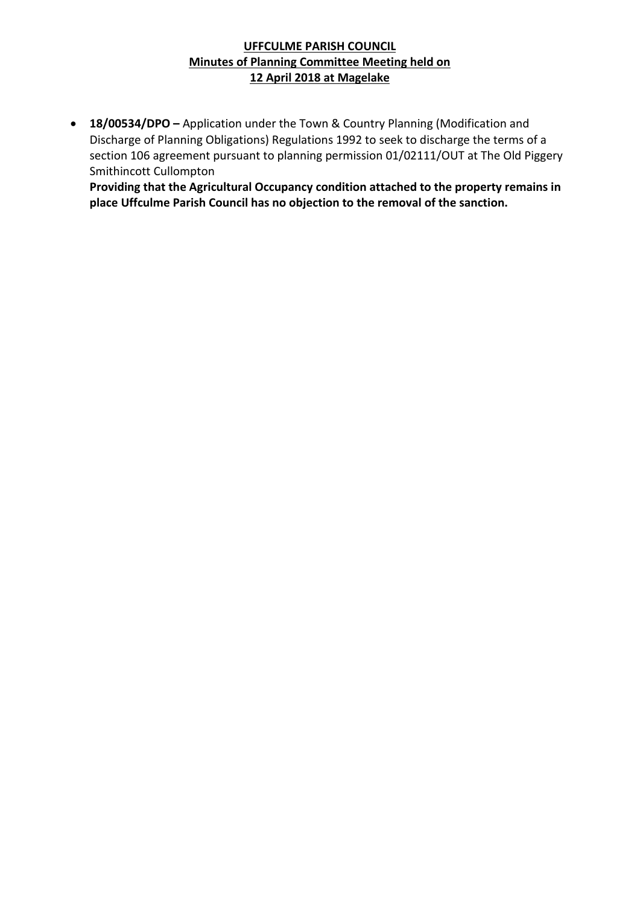• **18/00534/DPO –** Application under the Town & Country Planning (Modification and Discharge of Planning Obligations) Regulations 1992 to seek to discharge the terms of a section 106 agreement pursuant to planning permission 01/02111/OUT at The Old Piggery Smithincott Cullompton

**Providing that the Agricultural Occupancy condition attached to the property remains in place Uffculme Parish Council has no objection to the removal of the sanction.**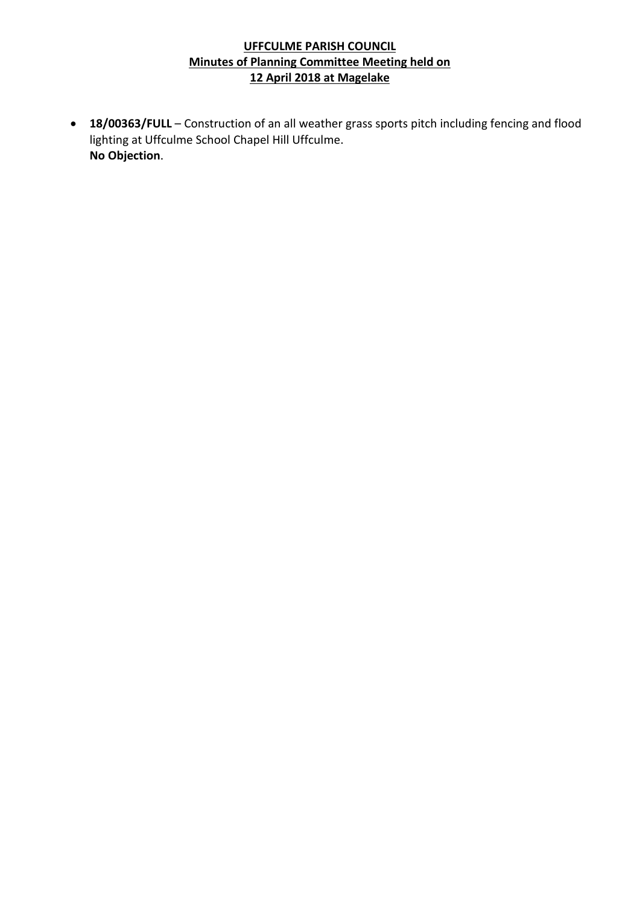• **18/00363/FULL** – Construction of an all weather grass sports pitch including fencing and flood lighting at Uffculme School Chapel Hill Uffculme. **No Objection**.